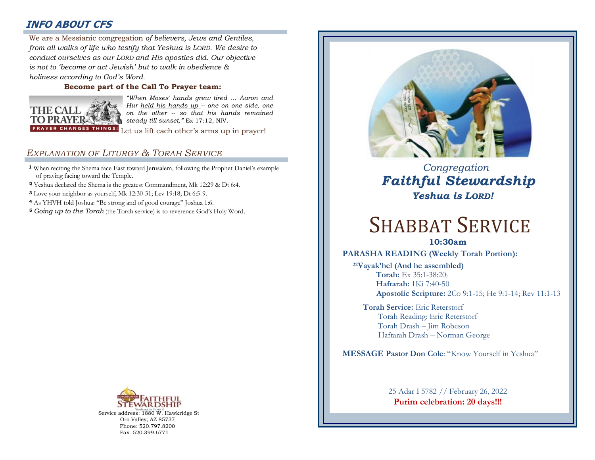# **INFO ABOUT CFS**

: *from all walks of life who testify that Yeshua is LORD. We desire to*  We are a Messianic congregation *of believers, Jews and Gentiles, conduct ourselves as our LORD and His apostles did. Our objective is not to 'become or act Jewish' but to walk in obedience & holiness according to God's Word.* 

#### **Become part of the Call To Prayer team:**



*"When Moses' hands grew tired … Aaron and Hur held his hands up -- one on one side, one on the other -- so that his hands remained steady till sunset,"* Ex 17:12, NIV.

Let us lift each other's arms up in prayer!

## *EXPLANATION OF LITURGY & TORAH SERVICE*

- **<sup>1</sup>** When reciting the Shema face East toward Jerusalem, following the Prophet Daniel's example of praying facing toward the Temple.
- **<sup>2</sup>** Yeshua declared the Shema is the greatest Commandment, Mk 12:29 & Dt 6:4.
- **<sup>3</sup>** Love your neighbor as yourself, Mk 12:30-31; Lev 19:18; Dt 6:5-9.
- **<sup>4</sup>** As YHVH told Joshua: "Be strong and of good courage" Joshua 1:6.
- **<sup>5</sup>** *Going up to the Torah* (the Torah service) is to reverence God's Holy Word.



Service address: 1880 W. Hawkridge St Oro Valley, AZ 85737 Phone: 520.797.8200 Fax: 520.399.6771



# *Congregation Faithful Stewardship Yeshua is LORD!*

# SHABBAT SERVICE

**10:30am**

#### **PARASHA READING (Weekly Torah Portion):**

**<sup>22</sup>Vayak'hel (And he assembled) Torah:** Ex 35:1-38:20)  **Haftarah:** 1Ki 7:40-50 **Apostolic Scripture:** 2Co 9:1-15; He 9:1-14; Rev 11:1-13

**Torah Service:** Eric Reterstorf Torah Reading: Eric Reterstorf Torah Drash – Jim Robeson Haftarah Drash – Norman George

**MESSAGE Pastor Don Cole**: "Know Yourself in Yeshua"